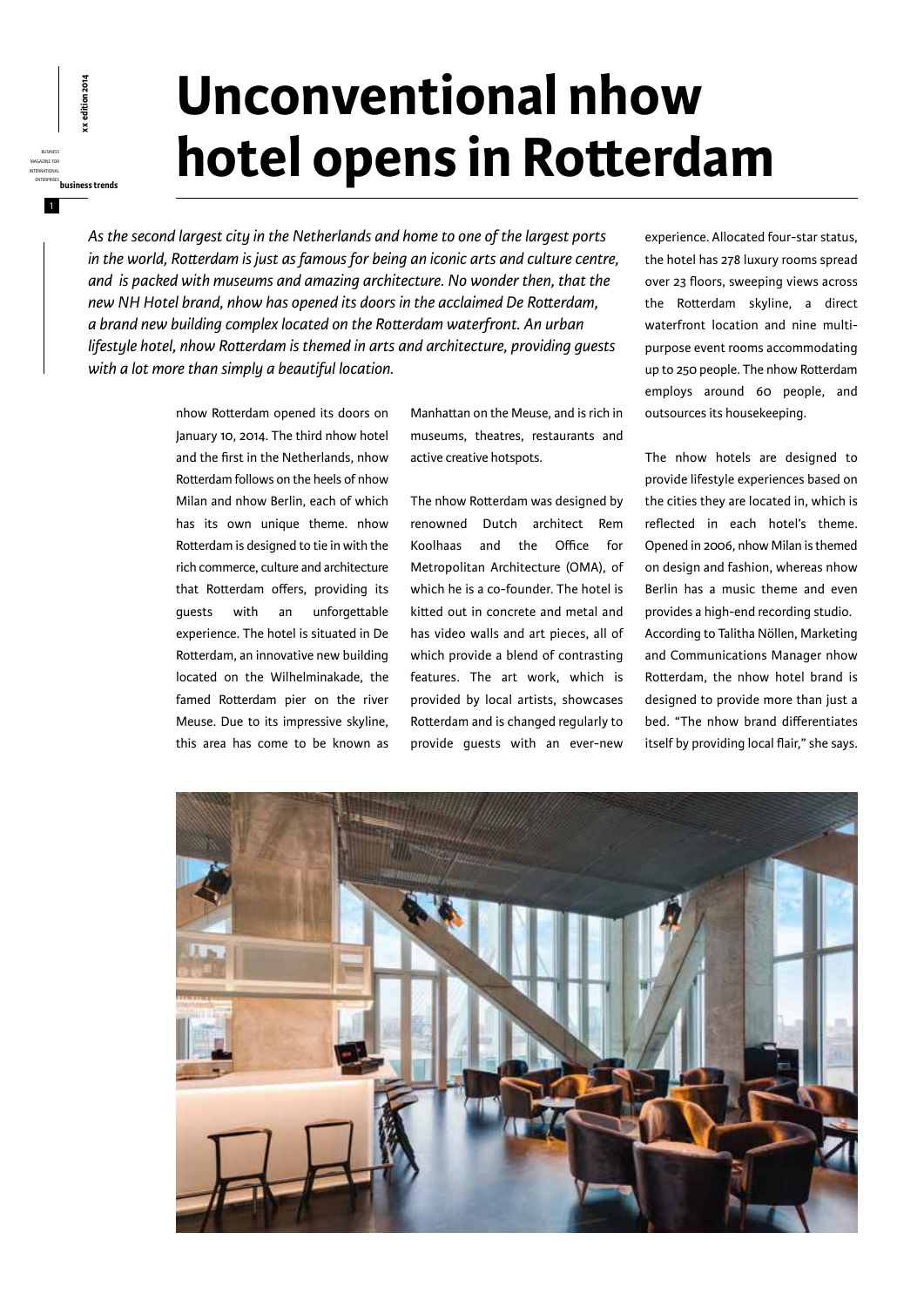## **Unconventional nhow hotel opens in Rotterdam**

*As the second largest city in the Netherlands and home to one of the largest ports in the world, Rotterdam is just as famous for being an iconic arts and culture centre, and is packed with museums and amazing architecture. No wonder then, that the new NH Hotel brand, nhow has opened its doors in the acclaimed De Rotterdam, a brand new building complex located on the Rotterdam waterfront. An urban lifestyle hotel, nhow Rotterdam is themed in arts and architecture, providing guests with a lot more than simply a beautiful location.* 

> nhow Rotterdam opened its doors on January 10, 2014. The third nhow hotel and the first in the Netherlands, nhow Rotterdam follows on the heels of nhow Milan and nhow Berlin, each of which has its own unique theme. nhow Rotterdam is designed to tie in with the rich commerce, culture and architecture that Rotterdam offers, providing its guests with an unforgettable experience. The hotel is situated in De Rotterdam, an innovative new building located on the Wilhelminakade, the famed Rotterdam pier on the river Meuse. Due to its impressive skyline, this area has come to be known as

business magazine for international

1

enterprises<br>**enterprises**<br>business<br>business trends<br>differences<br>**business trends** 

Manhattan on the Meuse, and is rich in museums, theatres, restaurants and active creative hotspots.

The nhow Rotterdam was designed by renowned Dutch architect Rem Koolhaas and the Office for Metropolitan Architecture (OMA), of which he is a co-founder. The hotel is kitted out in concrete and metal and has video walls and art pieces, all of which provide a blend of contrasting features. The art work, which is provided by local artists, showcases Rotterdam and is changed regularly to provide guests with an ever-new

experience. Allocated four-star status, the hotel has 278 luxury rooms spread over 23 floors, sweeping views across the Rotterdam skyline, a direct waterfront location and nine multipurpose event rooms accommodating up to 250 people. The nhow Rotterdam employs around 60 people, and outsources its housekeeping.

The nhow hotels are designed to provide lifestyle experiences based on the cities they are located in, which is reflected in each hotel's theme. Opened in 2006, nhow Milan is themed on design and fashion, whereas nhow Berlin has a music theme and even provides a high-end recording studio. According to Talitha Nöllen, Marketing and Communications Manager nhow Rotterdam, the nhow hotel brand is designed to provide more than just a bed. "The nhow brand differentiates itself by providing local flair," she says.

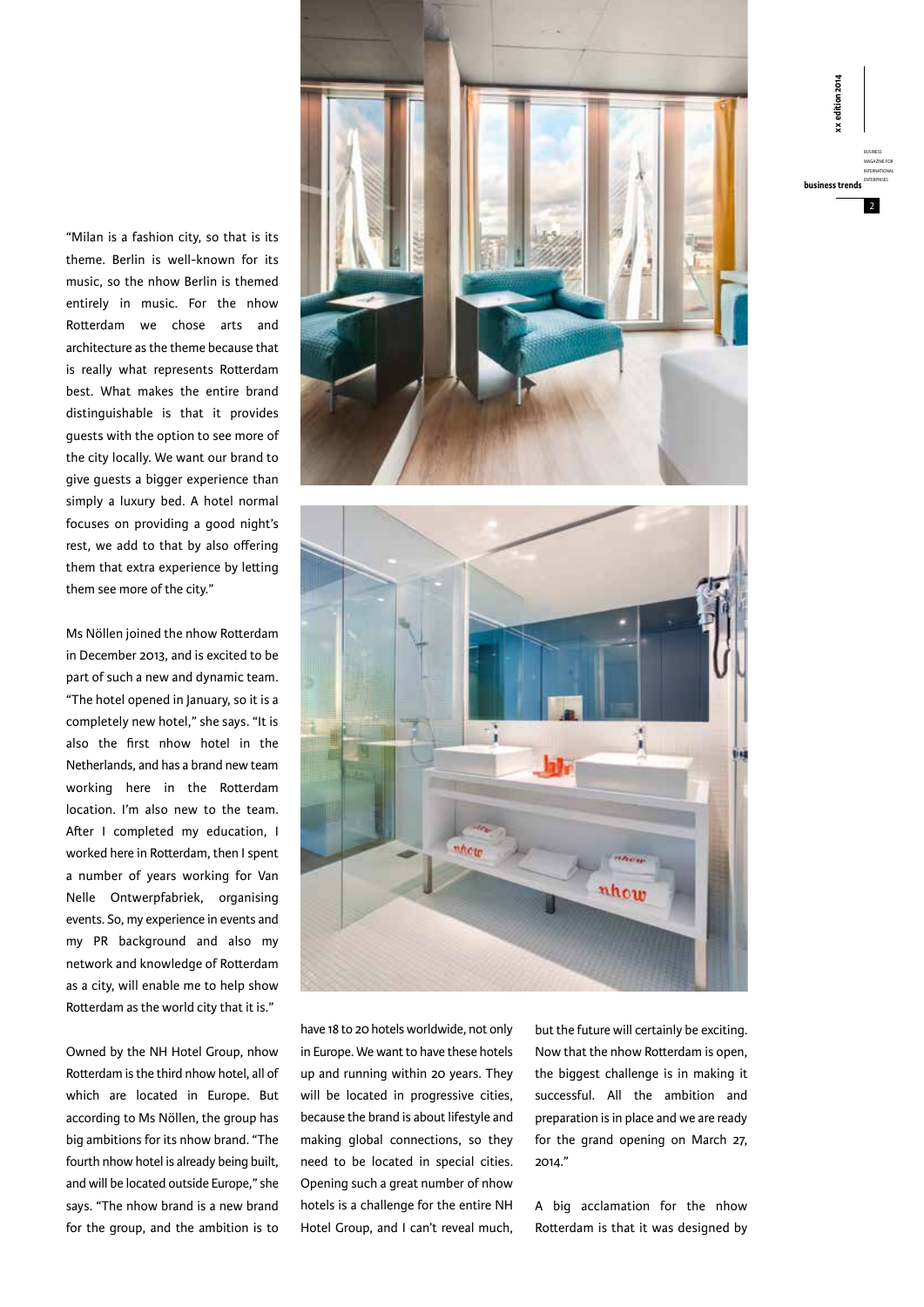"Milan is a fashion city, so that is its theme. Berlin is well-known for its music, so the nhow Berlin is themed entirely in music. For the nhow Rotterdam we chose arts and architecture as the theme because that is really what represents Rotterdam best. What makes the entire brand distinguishable is that it provides guests with the option to see more of the city locally. We want our brand to give guests a bigger experience than simply a luxury bed. A hotel normal focuses on providing a good night's rest, we add to that by also offering them that extra experience by letting them see more of the city."

Ms Nöllen joined the nhow Rotterdam in December 2013, and is excited to be part of such a new and dynamic team. "The hotel opened in January, so it is a completely new hotel," she says. "It is also the first nhow hotel in the Netherlands, and has a brand new team working here in the Rotterdam location. I'm also new to the team. After I completed my education, I worked here in Rotterdam, then I spent a number of years working for Van Nelle Ontwerpfabriek, organising events. So, my experience in events and my PR background and also my network and knowledge of Rotterdam as a city, will enable me to help show Rotterdam as the world city that it is."

Owned by the NH Hotel Group, nhow Rotterdam is the third nhow hotel, all of which are located in Europe. But according to Ms Nöllen, the group has big ambitions for its nhow brand. "The fourth nhow hotel is already being built, and will be located outside Europe," she says. "The nhow brand is a new brand for the group, and the ambition is to





have 18 to 20 hotels worldwide, not only in Europe. We want to have these hotels up and running within 20 years. They will be located in progressive cities, because the brand is about lifestyle and making global connections, so they need to be located in special cities. Opening such a great number of nhow hotels is a challenge for the entire NH Hotel Group, and I can't reveal much,

but the future will certainly be exciting. Now that the nhow Rotterdam is open, the biggest challenge is in making it successful. All the ambition and preparation is in place and we are ready for the grand opening on March 27, 2014."

A big acclamation for the nhow Rotterdam is that it was designed by